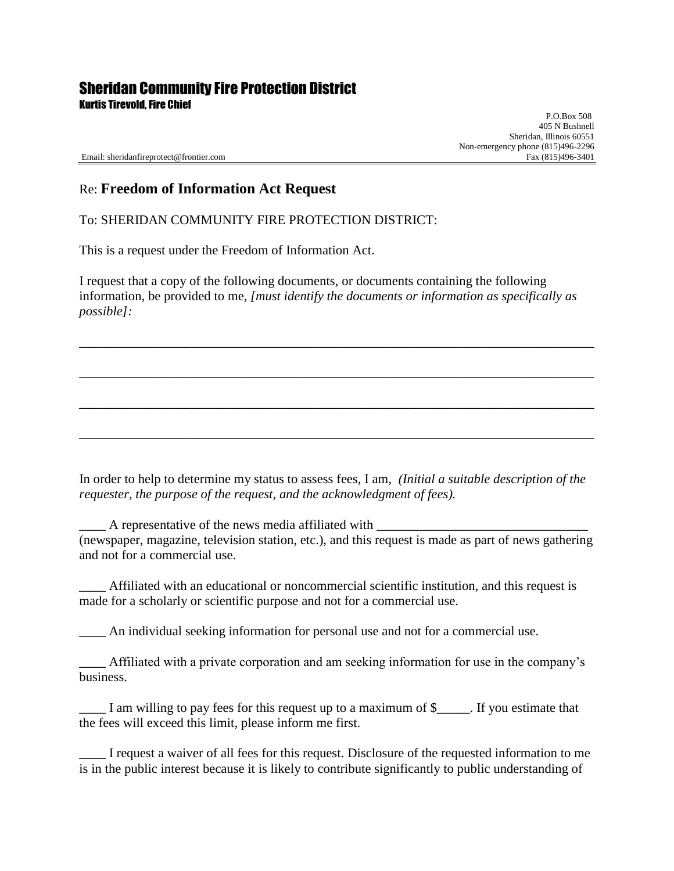## Sheridan Community Fire Protection District

Kurtis Tirevold, Fire Chief

 P.O.Box 508 405 N Bushnell Sheridan, Illinois 60551 Non-emergency phone (815)496-2296<br>Fax (815)496-3401

Email: sheridanfireprotect@frontier.com

## Re: **Freedom of Information Act Request**

To: SHERIDAN COMMUNITY FIRE PROTECTION DISTRICT:

This is a request under the Freedom of Information Act.

I request that a copy of the following documents, or documents containing the following information, be provided to me, *[must identify the documents or information as specifically as possible]:*

\_\_\_\_\_\_\_\_\_\_\_\_\_\_\_\_\_\_\_\_\_\_\_\_\_\_\_\_\_\_\_\_\_\_\_\_\_\_\_\_\_\_\_\_\_\_\_\_\_\_\_\_\_\_\_\_\_\_\_\_\_\_\_\_\_\_\_\_\_\_\_\_\_\_\_\_\_\_

\_\_\_\_\_\_\_\_\_\_\_\_\_\_\_\_\_\_\_\_\_\_\_\_\_\_\_\_\_\_\_\_\_\_\_\_\_\_\_\_\_\_\_\_\_\_\_\_\_\_\_\_\_\_\_\_\_\_\_\_\_\_\_\_\_\_\_\_\_\_\_\_\_\_\_\_\_\_

\_\_\_\_\_\_\_\_\_\_\_\_\_\_\_\_\_\_\_\_\_\_\_\_\_\_\_\_\_\_\_\_\_\_\_\_\_\_\_\_\_\_\_\_\_\_\_\_\_\_\_\_\_\_\_\_\_\_\_\_\_\_\_\_\_\_\_\_\_\_\_\_\_\_\_\_\_\_

\_\_\_\_\_\_\_\_\_\_\_\_\_\_\_\_\_\_\_\_\_\_\_\_\_\_\_\_\_\_\_\_\_\_\_\_\_\_\_\_\_\_\_\_\_\_\_\_\_\_\_\_\_\_\_\_\_\_\_\_\_\_\_\_\_\_\_\_\_\_\_\_\_\_\_\_\_\_

In order to help to determine my status to assess fees, I am, *(Initial a suitable description of the requester, the purpose of the request, and the acknowledgment of fees).*

\_\_\_\_ A representative of the news media affiliated with \_\_\_\_\_\_\_\_\_\_\_\_\_\_\_\_\_\_\_\_\_\_\_\_\_\_\_\_\_\_\_\_ (newspaper, magazine, television station, etc.), and this request is made as part of news gathering and not for a commercial use.

Affiliated with an educational or noncommercial scientific institution, and this request is made for a scholarly or scientific purpose and not for a commercial use.

\_\_\_\_ An individual seeking information for personal use and not for a commercial use.

\_\_\_\_ Affiliated with a private corporation and am seeking information for use in the company's business.

\_\_\_\_ I am willing to pay fees for this request up to a maximum of \$\_\_\_\_\_. If you estimate that the fees will exceed this limit, please inform me first.

\_\_\_\_ I request a waiver of all fees for this request. Disclosure of the requested information to me is in the public interest because it is likely to contribute significantly to public understanding of